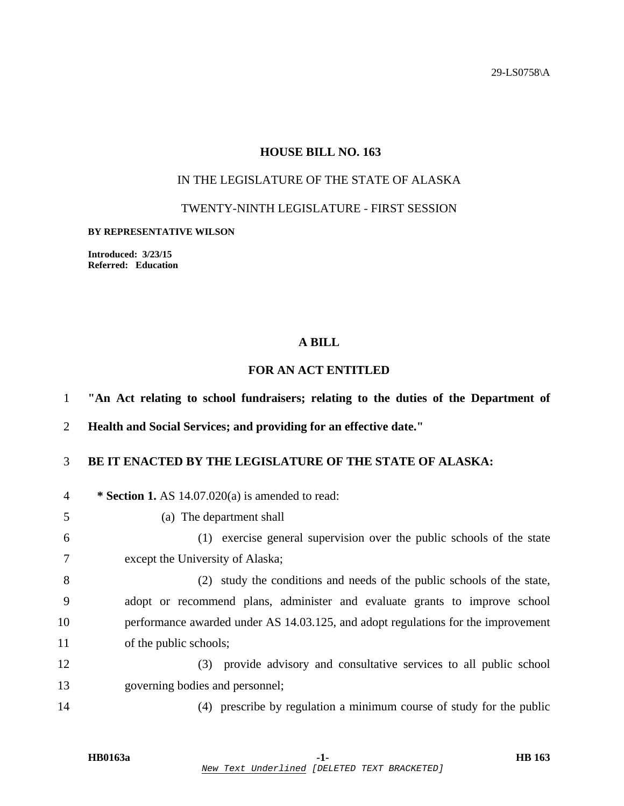29-LS0758\A

# **HOUSE BILL NO. 163**

# IN THE LEGISLATURE OF THE STATE OF ALASKA

## TWENTY-NINTH LEGISLATURE - FIRST SESSION

#### **BY REPRESENTATIVE WILSON**

**Introduced: 3/23/15 Referred: Education** 

### **A BILL**

## **FOR AN ACT ENTITLED**

1 **"An Act relating to school fundraisers; relating to the duties of the Department of** 

2 **Health and Social Services; and providing for an effective date."** 

# 3 **BE IT ENACTED BY THE LEGISLATURE OF THE STATE OF ALASKA:**

| $\overline{4}$ | * Section 1. AS 14.07.020(a) is amended to read:                                  |
|----------------|-----------------------------------------------------------------------------------|
| 5              | The department shall<br>(a)                                                       |
| 6              | (1) exercise general supervision over the public schools of the state             |
| 7              | except the University of Alaska;                                                  |
| 8              | (2) study the conditions and needs of the public schools of the state,            |
| 9              | adopt or recommend plans, administer and evaluate grants to improve school        |
| 10             | performance awarded under AS 14.03.125, and adopt regulations for the improvement |
| 11             | of the public schools;                                                            |
| 12             | provide advisory and consultative services to all public school<br>(3)            |
| 13             | governing bodies and personnel;                                                   |
|                |                                                                                   |

14 (4) prescribe by regulation a minimum course of study for the public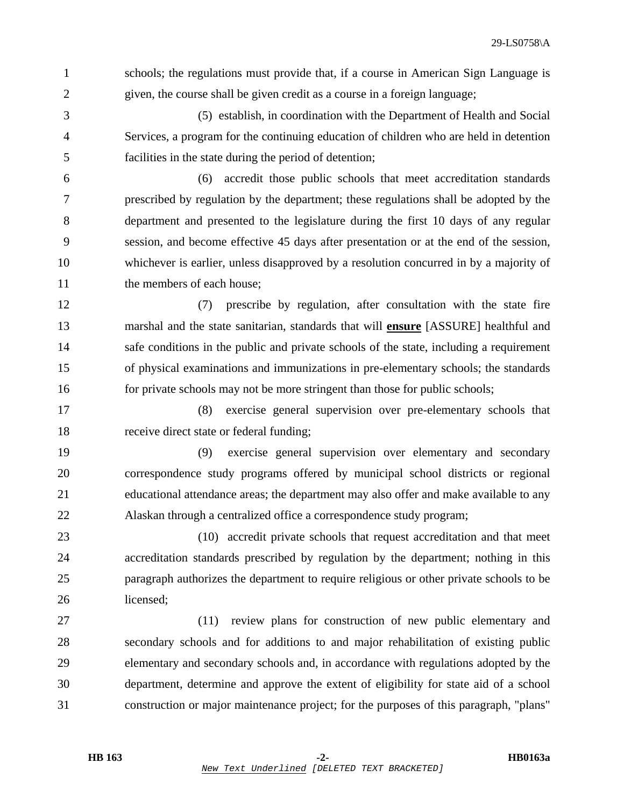1 schools; the regulations must provide that, if a course in American Sign Language is 2 given, the course shall be given credit as a course in a foreign language;

3 (5) establish, in coordination with the Department of Health and Social 4 Services, a program for the continuing education of children who are held in detention 5 facilities in the state during the period of detention;

6 (6) accredit those public schools that meet accreditation standards 7 prescribed by regulation by the department; these regulations shall be adopted by the 8 department and presented to the legislature during the first 10 days of any regular 9 session, and become effective 45 days after presentation or at the end of the session, 10 whichever is earlier, unless disapproved by a resolution concurred in by a majority of 11 the members of each house;

12 (7) prescribe by regulation, after consultation with the state fire 13 marshal and the state sanitarian, standards that will **ensure** [ASSURE] healthful and 14 safe conditions in the public and private schools of the state, including a requirement 15 of physical examinations and immunizations in pre-elementary schools; the standards 16 for private schools may not be more stringent than those for public schools;

17 (8) exercise general supervision over pre-elementary schools that 18 receive direct state or federal funding;

19 (9) exercise general supervision over elementary and secondary 20 correspondence study programs offered by municipal school districts or regional 21 educational attendance areas; the department may also offer and make available to any 22 Alaskan through a centralized office a correspondence study program;

23 (10) accredit private schools that request accreditation and that meet 24 accreditation standards prescribed by regulation by the department; nothing in this 25 paragraph authorizes the department to require religious or other private schools to be 26 licensed;

27 (11) review plans for construction of new public elementary and 28 secondary schools and for additions to and major rehabilitation of existing public 29 elementary and secondary schools and, in accordance with regulations adopted by the 30 department, determine and approve the extent of eligibility for state aid of a school 31 construction or major maintenance project; for the purposes of this paragraph, "plans"